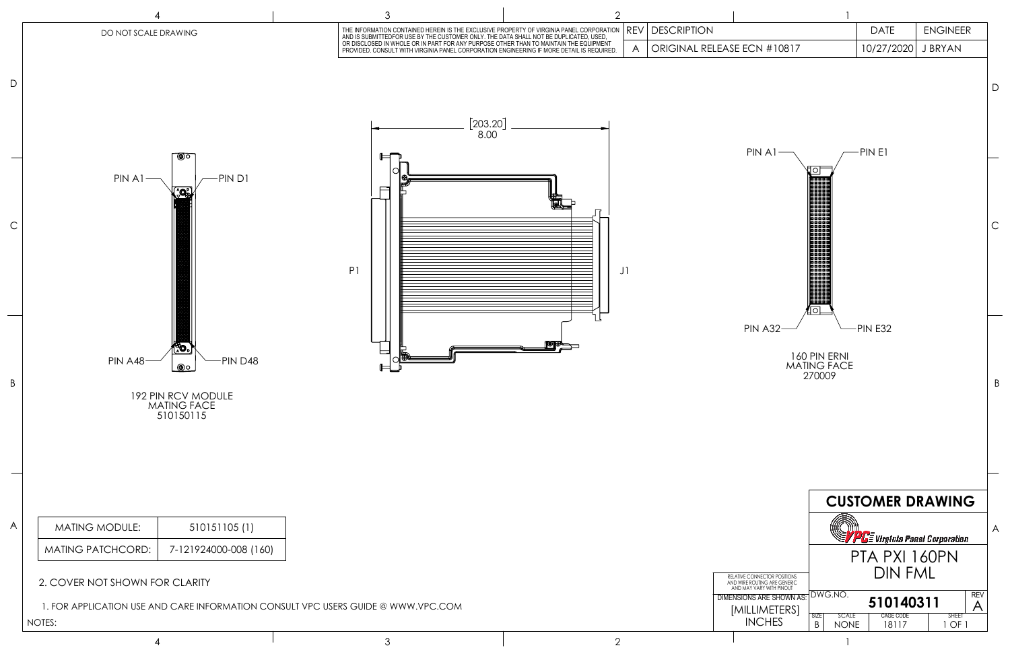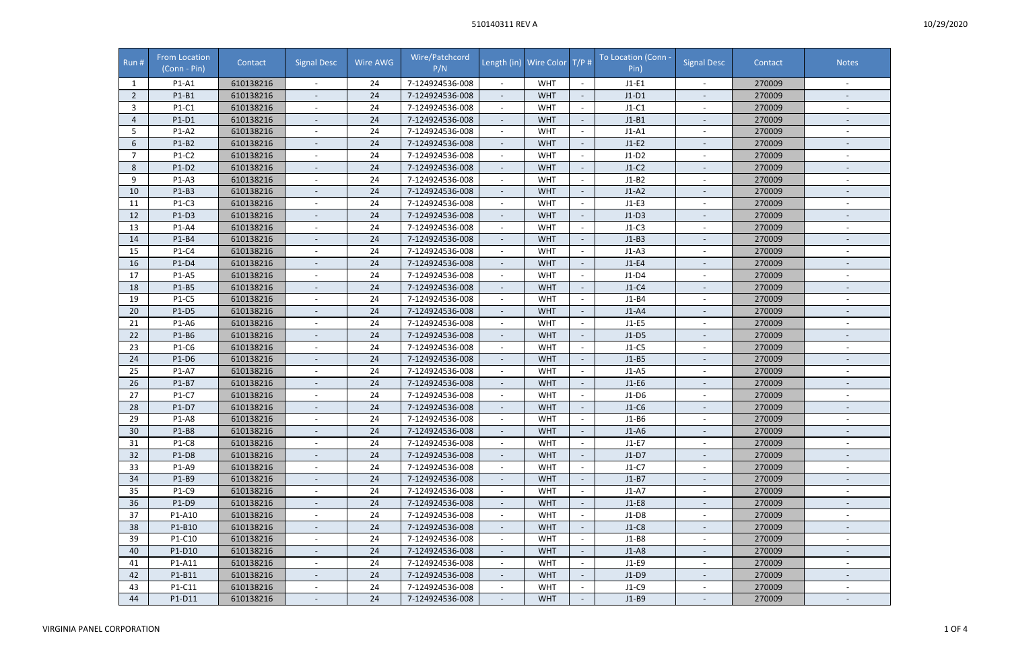## 510140311 REV A

| Run #          | <b>From Location</b><br>(Conn - Pin) | Contact   | <b>Signal Desc</b>       | Wire AWG | Wire/Patchcord<br>P/N |                          | Length (in) Wire Color T/P # |                          | To Location (Conn -<br>Pin) | <b>Signal Desc</b>       | Contact | <b>Notes</b>             |
|----------------|--------------------------------------|-----------|--------------------------|----------|-----------------------|--------------------------|------------------------------|--------------------------|-----------------------------|--------------------------|---------|--------------------------|
| -1             | P1-A1                                | 610138216 |                          | 24       | 7-124924536-008       |                          | <b>WHT</b>                   | $\sim$                   | $J1-E1$                     |                          | 270009  |                          |
| $\overline{2}$ | P1-B1                                | 610138216 | $\overline{\phantom{a}}$ | 24       | 7-124924536-008       | $\overline{\phantom{a}}$ | <b>WHT</b>                   | $\overline{\phantom{a}}$ | $J1-D1$                     |                          | 270009  |                          |
| 3              | P1-C1                                | 610138216 |                          | 24       | 7-124924536-008       |                          | <b>WHT</b>                   |                          | $J1-C1$                     |                          | 270009  |                          |
| 4              | P1-D1                                | 610138216 |                          | 24       | 7-124924536-008       | $\overline{\phantom{a}}$ | <b>WHT</b>                   |                          | $J1-B1$                     |                          | 270009  |                          |
| 5              | $P1-A2$                              | 610138216 |                          | 24       | 7-124924536-008       |                          | <b>WHT</b>                   | $\overline{\phantom{a}}$ | $J1-A1$                     |                          | 270009  |                          |
| 6              | P1-B2                                | 610138216 | $\overline{\phantom{a}}$ | 24       | 7-124924536-008       | $\overline{\phantom{a}}$ | <b>WHT</b>                   | $\overline{\phantom{a}}$ | $J1-E2$                     | $\sim$                   | 270009  | $\overline{\phantom{a}}$ |
| $\overline{7}$ | P1-C2                                | 610138216 | $\overline{\phantom{a}}$ | 24       | 7-124924536-008       | $\overline{\phantom{a}}$ | <b>WHT</b>                   | $\overline{\phantom{a}}$ | $J1-D2$                     |                          | 270009  |                          |
| 8              | $P1-D2$                              | 610138216 |                          | 24       | 7-124924536-008       |                          | <b>WHT</b>                   | $\overline{\phantom{a}}$ | $J1-C2$                     |                          | 270009  | $\overline{\phantom{a}}$ |
| 9              | P1-A3                                | 610138216 |                          | 24       | 7-124924536-008       | $\blacksquare$           | <b>WHT</b>                   |                          | $J1-B2$                     |                          | 270009  |                          |
| 10             | P1-B3                                | 610138216 |                          | 24       | 7-124924536-008       |                          | <b>WHT</b>                   |                          | $J1-A2$                     |                          | 270009  |                          |
| 11             | P1-C3                                | 610138216 |                          | 24       | 7-124924536-008       | $\blacksquare$           | <b>WHT</b>                   | $\overline{\phantom{a}}$ | $J1-E3$                     |                          | 270009  |                          |
| 12             | P1-D3                                | 610138216 | $\overline{\phantom{a}}$ | 24       | 7-124924536-008       |                          | <b>WHT</b>                   |                          | $J1-D3$                     |                          | 270009  | $\overline{\phantom{a}}$ |
| 13             | P1-A4                                | 610138216 | $\overline{\phantom{a}}$ | 24       | 7-124924536-008       | $\sim$                   | <b>WHT</b>                   | $\overline{\phantom{a}}$ | $J1-C3$                     | $\overline{\phantom{a}}$ | 270009  | $\overline{\phantom{a}}$ |
| 14             | P1-B4                                | 610138216 |                          | 24       | 7-124924536-008       | $\overline{\phantom{a}}$ | <b>WHT</b>                   |                          | $J1-B3$                     |                          | 270009  |                          |
| 15             | P1-C4                                | 610138216 |                          | 24       | 7-124924536-008       |                          | <b>WHT</b>                   |                          | $J1-A3$                     |                          | 270009  |                          |
| 16             | P1-D4                                | 610138216 | $\overline{\phantom{a}}$ | 24       | 7-124924536-008       | $\overline{\phantom{a}}$ | <b>WHT</b>                   |                          | $J1-E4$                     |                          | 270009  |                          |
| 17             | P1-A5                                | 610138216 |                          | 24       | 7-124924536-008       |                          | <b>WHT</b>                   |                          | $J1-D4$                     |                          | 270009  |                          |
| 18             | P1-B5                                | 610138216 | $\overline{\phantom{a}}$ | 24       | 7-124924536-008       | $\overline{\phantom{a}}$ | <b>WHT</b>                   |                          | $J1-C4$                     | $\overline{\phantom{a}}$ | 270009  | $\overline{\phantom{a}}$ |
| 19             | P1-C5                                | 610138216 | $\sim$                   | 24       | 7-124924536-008       | $\overline{\phantom{a}}$ | <b>WHT</b>                   |                          | $J1-B4$                     |                          | 270009  |                          |
| 20             | P1-D5                                | 610138216 |                          | 24       | 7-124924536-008       | $\overline{\phantom{a}}$ | <b>WHT</b>                   | $\overline{\phantom{a}}$ | $J1-A4$                     |                          | 270009  | $\overline{\phantom{a}}$ |
| 21             | P1-A6                                | 610138216 | $\overline{\phantom{a}}$ | 24       | 7-124924536-008       | $\blacksquare$           | <b>WHT</b>                   |                          | $J1-E5$                     |                          | 270009  |                          |
| 22             | P1-B6                                | 610138216 |                          | 24       | 7-124924536-008       |                          | <b>WHT</b>                   |                          | $J1-D5$                     | $\overline{\phantom{a}}$ | 270009  |                          |
| 23             | P1-C6                                | 610138216 | $\overline{\phantom{a}}$ | 24       | 7-124924536-008       | $\blacksquare$           | <b>WHT</b>                   |                          | $J1-C5$                     |                          | 270009  |                          |
| 24             | P1-D6                                | 610138216 |                          | 24       | 7-124924536-008       | $\blacksquare$           | <b>WHT</b>                   | $\overline{\phantom{a}}$ | $J1-B5$                     |                          | 270009  |                          |
| 25             | P1-A7                                | 610138216 | $\overline{\phantom{a}}$ | 24       | 7-124924536-008       | $\overline{\phantom{a}}$ | <b>WHT</b>                   | $\overline{\phantom{a}}$ | $J1-A5$                     | $\overline{\phantom{a}}$ | 270009  | $\overline{\phantom{a}}$ |
| 26             | P1-B7                                | 610138216 |                          | 24       | 7-124924536-008       |                          | <b>WHT</b>                   |                          | $J1-E6$                     |                          | 270009  |                          |
| 27             | P1-C7                                | 610138216 |                          | 24       | 7-124924536-008       |                          | <b>WHT</b>                   |                          | $J1-D6$                     |                          | 270009  | $\overline{\phantom{a}}$ |
| 28             | P1-D7                                | 610138216 |                          | 24       | 7-124924536-008       | $\overline{\phantom{a}}$ | <b>WHT</b>                   |                          | $J1-C6$                     |                          | 270009  |                          |
| 29             | <b>P1-A8</b>                         | 610138216 |                          | 24       | 7-124924536-008       |                          | <b>WHT</b>                   |                          | $J1-B6$                     |                          | 270009  |                          |
| 30             | P1-B8                                | 610138216 | $\overline{\phantom{a}}$ | 24       | 7-124924536-008       | $\sim$                   | <b>WHT</b>                   |                          | $J1-A6$                     | $\sim$                   | 270009  | $\overline{\phantom{a}}$ |
| 31             | <b>P1-C8</b>                         | 610138216 | $\overline{\phantom{a}}$ | 24       | 7-124924536-008       | $\overline{\phantom{a}}$ | <b>WHT</b>                   | $\overline{\phantom{a}}$ | $J1-E7$                     |                          | 270009  | $\overline{\phantom{a}}$ |
| 32             | P1-D8                                | 610138216 |                          | 24       | 7-124924536-008       | $\overline{\phantom{a}}$ | <b>WHT</b>                   | $\overline{\phantom{a}}$ | $J1-D7$                     |                          | 270009  | $\overline{\phantom{a}}$ |
| 33             | P1-A9                                | 610138216 | $\overline{\phantom{a}}$ | 24       | 7-124924536-008       | $\blacksquare$           | <b>WHT</b>                   | $\overline{\phantom{a}}$ | $J1-C7$                     | $\sim$                   | 270009  | $\overline{\phantom{a}}$ |
| 34             | P1-B9                                | 610138216 |                          | 24       | 7-124924536-008       |                          | <b>WHT</b>                   |                          | $J1-B7$                     |                          | 270009  | $\overline{\phantom{a}}$ |
| 35             | P1-C9                                | 610138216 | $\overline{\phantom{a}}$ | 24       | 7-124924536-008       | $\overline{\phantom{a}}$ | <b>WHT</b>                   |                          | $J1-A7$                     |                          | 270009  | $\overline{\phantom{a}}$ |
| 36             | P1-D9                                | 610138216 |                          | 24       | 7-124924536-008       |                          | <b>WHT</b>                   |                          | $J1-E8$                     |                          | 270009  |                          |
| 37             | P1-A10                               | 610138216 | $\overline{\phantom{a}}$ | 24       | 7-124924536-008       | $\overline{\phantom{a}}$ | <b>WHT</b>                   | $\overline{\phantom{a}}$ | $J1-D8$                     | $\overline{\phantom{a}}$ | 270009  | $\overline{\phantom{a}}$ |
| 38             | P1-B10                               | 610138216 | $\overline{\phantom{a}}$ | 24       | 7-124924536-008       | $\overline{\phantom{a}}$ | <b>WHT</b>                   | $\overline{\phantom{a}}$ | $J1-C8$                     |                          | 270009  | $\overline{\phantom{a}}$ |
| 39             | P1-C10                               | 610138216 | $\overline{\phantom{a}}$ | 24       | 7-124924536-008       |                          | <b>WHT</b>                   | $\overline{\phantom{a}}$ | $J1-B8$                     | $\overline{\phantom{a}}$ | 270009  | $\overline{\phantom{a}}$ |
| 40             | P1-D10                               | 610138216 | $\overline{\phantom{a}}$ | 24       | 7-124924536-008       | $\overline{\phantom{a}}$ | <b>WHT</b>                   |                          | $J1-A8$                     |                          | 270009  |                          |
| 41             | P1-A11                               | 610138216 |                          | 24       | 7-124924536-008       |                          | <b>WHT</b>                   |                          | $J1-E9$                     |                          | 270009  |                          |
| 42             | P1-B11                               | 610138216 |                          | 24       | 7-124924536-008       | $\overline{\phantom{a}}$ | <b>WHT</b>                   |                          | $J1-D9$                     |                          | 270009  |                          |
| 43             | P1-C11                               | 610138216 | $\overline{\phantom{a}}$ | 24       | 7-124924536-008       | $\overline{\phantom{a}}$ | <b>WHT</b>                   | $\overline{\phantom{a}}$ | $J1-C9$                     |                          | 270009  | $\overline{\phantom{a}}$ |
| 44             | P1-D11                               | 610138216 | $\sim$                   | 24       | 7-124924536-008       | $\overline{\phantom{a}}$ | <b>WHT</b>                   | $\sim$                   | $J1-B9$                     | $\sim$                   | 270009  | $\overline{\phantom{a}}$ |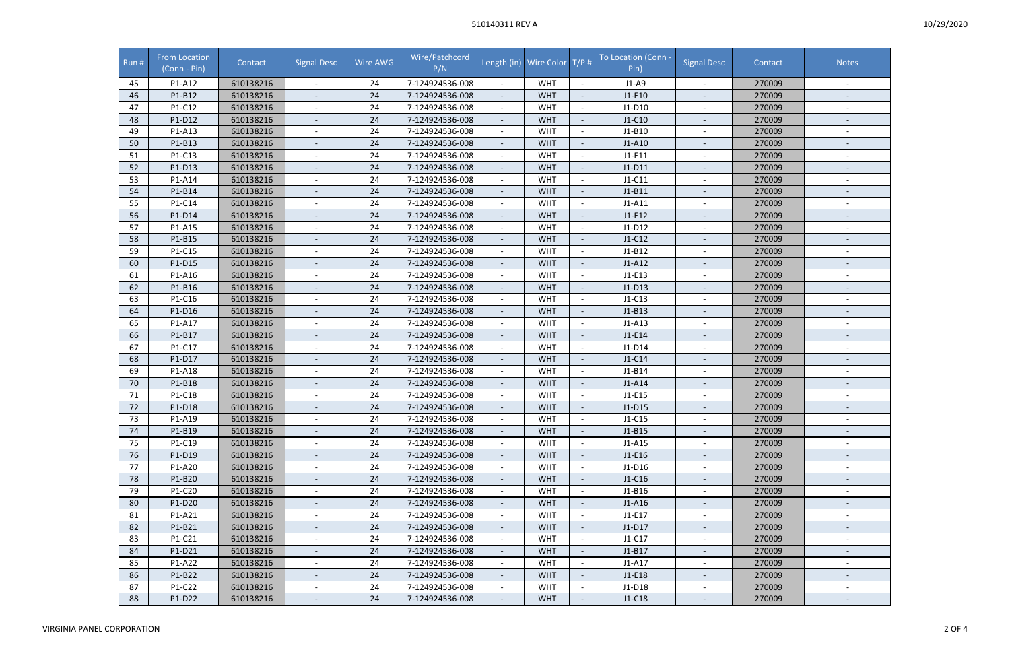## 510140311 REV A

| Run# | <b>From Location</b><br>(Conn - Pin) | Contact   | <b>Signal Desc</b>       | Wire AWG | Wire/Patchcord<br>P/N |                          | Length (in) Wire Color T/P # |                          | To Location (Conn -<br>Pin) | <b>Signal Desc</b>       | Contact | <b>Notes</b>             |
|------|--------------------------------------|-----------|--------------------------|----------|-----------------------|--------------------------|------------------------------|--------------------------|-----------------------------|--------------------------|---------|--------------------------|
| 45   | P1-A12                               | 610138216 |                          | 24       | 7-124924536-008       |                          | <b>WHT</b>                   | $\overline{\phantom{a}}$ | $J1-A9$                     |                          | 270009  |                          |
| 46   | P1-B12                               | 610138216 | $\blacksquare$           | 24       | 7-124924536-008       | $\overline{\phantom{a}}$ | <b>WHT</b>                   |                          | $J1-E10$                    |                          | 270009  |                          |
| 47   | P1-C12                               | 610138216 | $\sim$                   | 24       | 7-124924536-008       |                          | <b>WHT</b>                   |                          | $J1-D10$                    |                          | 270009  |                          |
| 48   | P1-D12                               | 610138216 |                          | 24       | 7-124924536-008       | $\overline{\phantom{a}}$ | <b>WHT</b>                   |                          | $J1-C10$                    |                          | 270009  |                          |
| 49   | P1-A13                               | 610138216 |                          | 24       | 7-124924536-008       |                          | <b>WHT</b>                   |                          | $J1-B10$                    |                          | 270009  |                          |
| 50   | P1-B13                               | 610138216 | $\overline{\phantom{a}}$ | 24       | 7-124924536-008       | $\overline{\phantom{a}}$ | <b>WHT</b>                   | $\overline{\phantom{a}}$ | J1-A10                      | $\sim$                   | 270009  | $\overline{\phantom{a}}$ |
| 51   | P1-C13                               | 610138216 | $\overline{\phantom{a}}$ | 24       | 7-124924536-008       | $\overline{\phantom{a}}$ | <b>WHT</b>                   |                          | $J1-E11$                    |                          | 270009  |                          |
| 52   | P1-D13                               | 610138216 | $\overline{\phantom{a}}$ | 24       | 7-124924536-008       |                          | <b>WHT</b>                   |                          | $J1-D11$                    |                          | 270009  | $\overline{\phantom{a}}$ |
| 53   | P1-A14                               | 610138216 | $\overline{\phantom{a}}$ | 24       | 7-124924536-008       |                          | <b>WHT</b>                   |                          | $J1-C11$                    |                          | 270009  |                          |
| 54   | P1-B14                               | 610138216 |                          | 24       | 7-124924536-008       |                          | <b>WHT</b>                   |                          | $J1-B11$                    |                          | 270009  |                          |
| 55   | P1-C14                               | 610138216 |                          | 24       | 7-124924536-008       | $\overline{\phantom{a}}$ | <b>WHT</b>                   |                          | $J1-A11$                    |                          | 270009  |                          |
| 56   | P1-D14                               | 610138216 | $\overline{\phantom{a}}$ | 24       | 7-124924536-008       |                          | <b>WHT</b>                   |                          | $J1-E12$                    |                          | 270009  | $\overline{\phantom{a}}$ |
| 57   | P1-A15                               | 610138216 | $\blacksquare$           | 24       | 7-124924536-008       | $\sim$                   | <b>WHT</b>                   | $\overline{\phantom{a}}$ | $J1-D12$                    | $\overline{\phantom{a}}$ | 270009  | $\overline{\phantom{a}}$ |
| 58   | P1-B15                               | 610138216 | $\overline{\phantom{a}}$ | 24       | 7-124924536-008       |                          | <b>WHT</b>                   |                          | $J1-C12$                    |                          | 270009  |                          |
| 59   | P1-C15                               | 610138216 |                          | 24       | 7-124924536-008       |                          | <b>WHT</b>                   |                          | $J1-B12$                    |                          | 270009  |                          |
| 60   | P1-D15                               | 610138216 | $\overline{\phantom{a}}$ | 24       | 7-124924536-008       | $\overline{\phantom{a}}$ | <b>WHT</b>                   |                          | $J1-A12$                    |                          | 270009  |                          |
| 61   | P1-A16                               | 610138216 |                          | 24       | 7-124924536-008       |                          | <b>WHT</b>                   |                          | $J1-E13$                    |                          | 270009  |                          |
| 62   | P1-B16                               | 610138216 | $\overline{\phantom{a}}$ | 24       | 7-124924536-008       | $\overline{\phantom{a}}$ | <b>WHT</b>                   |                          | $J1-D13$                    | $\overline{\phantom{a}}$ | 270009  | $\overline{\phantom{a}}$ |
| 63   | P1-C16                               | 610138216 | $\sim$                   | 24       | 7-124924536-008       | $\overline{\phantom{a}}$ | <b>WHT</b>                   |                          | $J1-C13$                    |                          | 270009  |                          |
| 64   | P1-D16                               | 610138216 |                          | 24       | 7-124924536-008       |                          | <b>WHT</b>                   | $\overline{\phantom{a}}$ | $J1-B13$                    |                          | 270009  | $\overline{\phantom{a}}$ |
| 65   | P1-A17                               | 610138216 | $\overline{\phantom{a}}$ | 24       | 7-124924536-008       | $\overline{\phantom{a}}$ | <b>WHT</b>                   |                          | $J1-A13$                    |                          | 270009  |                          |
| 66   | P1-B17                               | 610138216 |                          | 24       | 7-124924536-008       |                          | <b>WHT</b>                   |                          | $J1-E14$                    |                          | 270009  | $\overline{\phantom{a}}$ |
| 67   | P1-C17                               | 610138216 | $\sim$                   | 24       | 7-124924536-008       | $\blacksquare$           | <b>WHT</b>                   |                          | $J1-D14$                    |                          | 270009  |                          |
| 68   | P1-D17                               | 610138216 | $\overline{a}$           | 24       | 7-124924536-008       | $\overline{\phantom{a}}$ | <b>WHT</b>                   |                          | $J1-C14$                    |                          | 270009  |                          |
| 69   | P1-A18                               | 610138216 | $\overline{\phantom{a}}$ | 24       | 7-124924536-008       | $\overline{\phantom{a}}$ | <b>WHT</b>                   | $\overline{\phantom{a}}$ | $J1-B14$                    | $\sim$                   | 270009  | $\overline{\phantom{a}}$ |
| 70   | P1-B18                               | 610138216 |                          | 24       | 7-124924536-008       |                          | <b>WHT</b>                   |                          | $J1-A14$                    |                          | 270009  |                          |
| 71   | P1-C18                               | 610138216 |                          | 24       | 7-124924536-008       |                          | <b>WHT</b>                   |                          | $J1-E15$                    |                          | 270009  | $\overline{\phantom{a}}$ |
| 72   | P1-D18                               | 610138216 |                          | 24       | 7-124924536-008       | $\overline{\phantom{a}}$ | <b>WHT</b>                   |                          | $J1-D15$                    |                          | 270009  |                          |
| 73   | P1-A19                               | 610138216 |                          | 24       | 7-124924536-008       |                          | WHT                          |                          | $J1-C15$                    |                          | 270009  |                          |
| 74   | P1-B19                               | 610138216 | $\overline{\phantom{a}}$ | 24       | 7-124924536-008       | $\overline{\phantom{a}}$ | <b>WHT</b>                   |                          | $J1-B15$                    | $\sim$                   | 270009  | $\overline{\phantom{a}}$ |
| 75   | P1-C19                               | 610138216 | $\overline{\phantom{a}}$ | 24       | 7-124924536-008       | $\overline{\phantom{a}}$ | <b>WHT</b>                   |                          | $J1-A15$                    | $\overline{\phantom{a}}$ | 270009  | $\overline{\phantom{a}}$ |
| 76   | P1-D19                               | 610138216 |                          | 24       | 7-124924536-008       |                          | <b>WHT</b>                   |                          | $J1-E16$                    |                          | 270009  | $\overline{\phantom{a}}$ |
| 77   | P1-A20                               | 610138216 | $\overline{\phantom{a}}$ | 24       | 7-124924536-008       | $\overline{\phantom{a}}$ | <b>WHT</b>                   |                          | $J1-D16$                    | $\overline{\phantom{a}}$ | 270009  | $\overline{\phantom{a}}$ |
| 78   | P1-B20                               | 610138216 |                          | 24       | 7-124924536-008       |                          | <b>WHT</b>                   |                          | $J1-C16$                    |                          | 270009  | $\overline{\phantom{a}}$ |
| 79   | P1-C20                               | 610138216 | $\overline{\phantom{a}}$ | 24       | 7-124924536-008       | $\overline{\phantom{a}}$ | <b>WHT</b>                   |                          | J1-B16                      |                          | 270009  | $\overline{\phantom{a}}$ |
| 80   | P1-D20                               | 610138216 |                          | 24       | 7-124924536-008       |                          | <b>WHT</b>                   |                          | $J1-A16$                    |                          | 270009  |                          |
| 81   | P1-A21                               | 610138216 | $\overline{\phantom{a}}$ | 24       | 7-124924536-008       | $\overline{\phantom{a}}$ | <b>WHT</b>                   |                          | $J1-E17$                    | $\overline{\phantom{a}}$ | 270009  | $\overline{\phantom{a}}$ |
| 82   | P1-B21                               | 610138216 | $\overline{\phantom{a}}$ | 24       | 7-124924536-008       |                          | <b>WHT</b>                   | $\overline{\phantom{a}}$ | $J1-D17$                    |                          | 270009  | $\overline{\phantom{a}}$ |
| 83   | P1-C21                               | 610138216 | $\overline{\phantom{a}}$ | 24       | 7-124924536-008       |                          | <b>WHT</b>                   |                          | $J1-C17$                    | $\overline{\phantom{a}}$ | 270009  | $\overline{\phantom{a}}$ |
| 84   | P1-D21                               | 610138216 | $\overline{\phantom{a}}$ | 24       | 7-124924536-008       |                          | <b>WHT</b>                   |                          | $J1-B17$                    |                          | 270009  |                          |
| 85   | P1-A22                               | 610138216 | $\overline{\phantom{a}}$ | 24       | 7-124924536-008       |                          | <b>WHT</b>                   |                          | $J1-A17$                    |                          | 270009  |                          |
| 86   | P1-B22                               | 610138216 |                          | 24       | 7-124924536-008       | $\overline{\phantom{a}}$ | <b>WHT</b>                   |                          | $J1-E18$                    |                          | 270009  |                          |
| 87   | P1-C22                               | 610138216 | $\overline{\phantom{a}}$ | 24       | 7-124924536-008       | $\overline{\phantom{a}}$ | <b>WHT</b>                   |                          | $J1-D18$                    |                          | 270009  | $\overline{\phantom{a}}$ |
| 88   | P1-D22                               | 610138216 | $\overline{\phantom{a}}$ | 24       | 7-124924536-008       | $\overline{\phantom{a}}$ | <b>WHT</b>                   |                          | $J1-C18$                    | $\overline{\phantom{a}}$ | 270009  | $\overline{\phantom{a}}$ |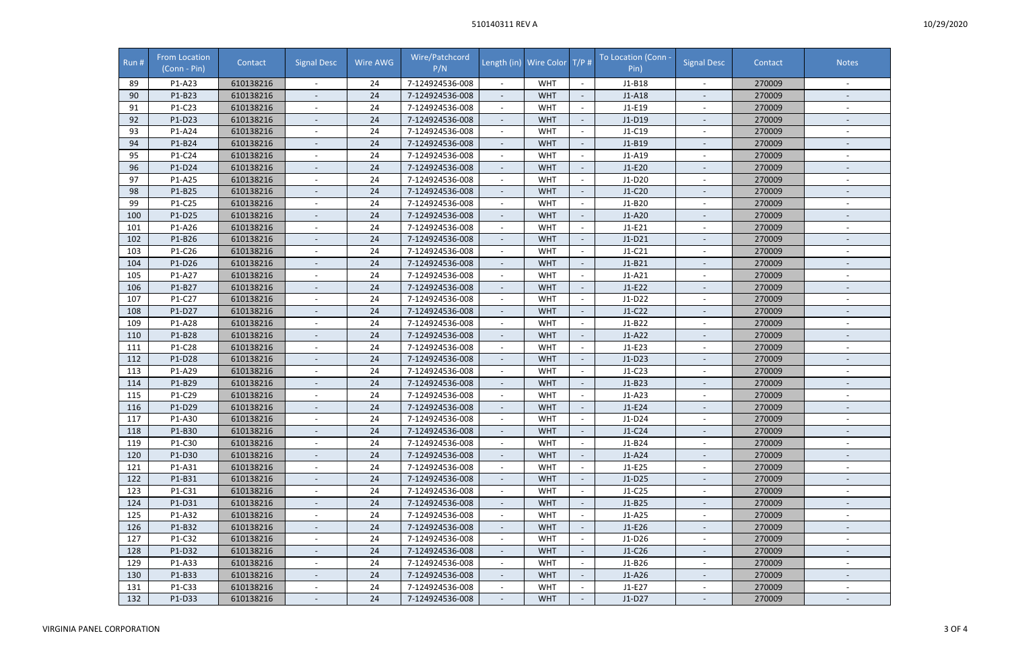## 510140311 REV A

| Run# | From Location<br>(Conn - Pin) | Contact   | <b>Signal Desc</b>       | Wire AWG | Wire/Patchcord<br>P/N |                          | Length (in) Wire Color T/P # |                          | To Location (Conn -<br>Pin) | <b>Signal Desc</b>       | Contact | <b>Notes</b>             |
|------|-------------------------------|-----------|--------------------------|----------|-----------------------|--------------------------|------------------------------|--------------------------|-----------------------------|--------------------------|---------|--------------------------|
| 89   | P1-A23                        | 610138216 |                          | 24       | 7-124924536-008       |                          | <b>WHT</b>                   |                          | $J1-B18$                    |                          | 270009  |                          |
| 90   | P1-B23                        | 610138216 | $\blacksquare$           | 24       | 7-124924536-008       |                          | <b>WHT</b>                   |                          | $J1-A18$                    |                          | 270009  |                          |
| 91   | P1-C23                        | 610138216 | $\overline{\phantom{a}}$ | 24       | 7-124924536-008       |                          | <b>WHT</b>                   |                          | $J1-E19$                    |                          | 270009  |                          |
| 92   | P1-D23                        | 610138216 | $\overline{\phantom{a}}$ | 24       | 7-124924536-008       | $\overline{\phantom{a}}$ | <b>WHT</b>                   |                          | J1-D19                      |                          | 270009  |                          |
| 93   | P1-A24                        | 610138216 |                          | 24       | 7-124924536-008       |                          | <b>WHT</b>                   |                          | $J1-C19$                    |                          | 270009  |                          |
| 94   | P1-B24                        | 610138216 | $\overline{\phantom{a}}$ | 24       | 7-124924536-008       | $\overline{\phantom{a}}$ | <b>WHT</b>                   |                          | $J1-B19$                    | $\sim$                   | 270009  | $\overline{\phantom{a}}$ |
| 95   | P1-C24                        | 610138216 | $\overline{\phantom{a}}$ | 24       | 7-124924536-008       |                          | <b>WHT</b>                   |                          | $J1-A19$                    |                          | 270009  |                          |
| 96   | P1-D24                        | 610138216 | $\overline{\phantom{a}}$ | 24       | 7-124924536-008       |                          | <b>WHT</b>                   |                          | $J1-E20$                    |                          | 270009  | $\overline{\phantom{a}}$ |
| 97   | P1-A25                        | 610138216 | $\overline{\phantom{a}}$ | 24       | 7-124924536-008       |                          | <b>WHT</b>                   |                          | $J1-D20$                    |                          | 270009  |                          |
| 98   | P1-B25                        | 610138216 |                          | 24       | 7-124924536-008       |                          | <b>WHT</b>                   |                          | $J1-C20$                    |                          | 270009  |                          |
| 99   | P1-C25                        | 610138216 | $\sim$                   | 24       | 7-124924536-008       |                          | <b>WHT</b>                   |                          | $J1-B20$                    |                          | 270009  |                          |
| 100  | P1-D25                        | 610138216 | $\overline{\phantom{a}}$ | 24       | 7-124924536-008       |                          | <b>WHT</b>                   |                          | $J1-A20$                    |                          | 270009  | $\overline{\phantom{a}}$ |
| 101  | P1-A26                        | 610138216 | $\overline{\phantom{a}}$ | 24       | 7-124924536-008       | $\overline{\phantom{a}}$ | <b>WHT</b>                   |                          | $J1-E21$                    | $\overline{\phantom{a}}$ | 270009  | $\overline{\phantom{a}}$ |
| 102  | P1-B26                        | 610138216 | $\overline{\phantom{a}}$ | 24       | 7-124924536-008       |                          | <b>WHT</b>                   |                          | $J1-D21$                    |                          | 270009  |                          |
| 103  | P1-C26                        | 610138216 |                          | 24       | 7-124924536-008       |                          | <b>WHT</b>                   |                          | $J1-C21$                    |                          | 270009  |                          |
| 104  | P1-D26                        | 610138216 | $\overline{\phantom{a}}$ | 24       | 7-124924536-008       | $\overline{\phantom{a}}$ | <b>WHT</b>                   |                          | $J1-B21$                    |                          | 270009  |                          |
| 105  | P1-A27                        | 610138216 | $\blacksquare$           | 24       | 7-124924536-008       |                          | <b>WHT</b>                   |                          | $J1-A21$                    |                          | 270009  |                          |
| 106  | P1-B27                        | 610138216 | $\overline{\phantom{a}}$ | 24       | 7-124924536-008       | $\overline{\phantom{a}}$ | <b>WHT</b>                   |                          | $J1-E22$                    | $\overline{\phantom{a}}$ | 270009  | $\overline{\phantom{a}}$ |
| 107  | P1-C27                        | 610138216 | $\sim$                   | 24       | 7-124924536-008       |                          | <b>WHT</b>                   |                          | $J1-D22$                    |                          | 270009  |                          |
| 108  | P1-D27                        | 610138216 | ÷                        | 24       | 7-124924536-008       |                          | <b>WHT</b>                   | $\sim$                   | $J1-C22$                    |                          | 270009  | $\overline{\phantom{a}}$ |
| 109  | P1-A28                        | 610138216 | $\sim$                   | 24       | 7-124924536-008       |                          | <b>WHT</b>                   |                          | $J1-B22$                    |                          | 270009  |                          |
| 110  | P1-B28                        | 610138216 | $\overline{\phantom{a}}$ | 24       | 7-124924536-008       |                          | <b>WHT</b>                   |                          | $J1-A22$                    |                          | 270009  | $\overline{\phantom{a}}$ |
| 111  | P1-C28                        | 610138216 | $\overline{\phantom{a}}$ | 24       | 7-124924536-008       | $\overline{\phantom{a}}$ | <b>WHT</b>                   |                          | $J1-E23$                    |                          | 270009  |                          |
| 112  | P1-D28                        | 610138216 | $\overline{a}$           | 24       | 7-124924536-008       |                          | <b>WHT</b>                   |                          | $J1-D23$                    |                          | 270009  |                          |
| 113  | P1-A29                        | 610138216 | $\overline{\phantom{a}}$ | 24       | 7-124924536-008       | $\overline{\phantom{a}}$ | <b>WHT</b>                   | $\overline{\phantom{a}}$ | $J1-C23$                    | $\sim$                   | 270009  | $\overline{\phantom{a}}$ |
| 114  | P1-B29                        | 610138216 |                          | 24       | 7-124924536-008       |                          | <b>WHT</b>                   |                          | $J1-B23$                    |                          | 270009  |                          |
| 115  | P1-C29                        | 610138216 | $\overline{\phantom{a}}$ | 24       | 7-124924536-008       |                          | <b>WHT</b>                   |                          | $J1-A23$                    |                          | 270009  | $\overline{\phantom{a}}$ |
| 116  | P1-D29                        | 610138216 | $\overline{a}$           | 24       | 7-124924536-008       |                          | <b>WHT</b>                   |                          | $J1-E24$                    |                          | 270009  |                          |
| 117  | P1-A30                        | 610138216 |                          | 24       | 7-124924536-008       |                          | <b>WHT</b>                   |                          | $J1-D24$                    |                          | 270009  |                          |
| 118  | P1-B30                        | 610138216 | $\overline{\phantom{a}}$ | 24       | 7-124924536-008       | $\overline{\phantom{a}}$ | <b>WHT</b>                   |                          | $J1-C24$                    | $\sim$                   | 270009  | $\overline{\phantom{a}}$ |
| 119  | P1-C30                        | 610138216 | $\overline{\phantom{a}}$ | 24       | 7-124924536-008       |                          | <b>WHT</b>                   |                          | $J1-B24$                    | $\overline{\phantom{a}}$ | 270009  | $\overline{\phantom{a}}$ |
| 120  | P1-D30                        | 610138216 | $\overline{\phantom{a}}$ | 24       | 7-124924536-008       |                          | <b>WHT</b>                   |                          | $J1-A24$                    |                          | 270009  | $\overline{\phantom{a}}$ |
| 121  | P1-A31                        | 610138216 | $\blacksquare$           | 24       | 7-124924536-008       | $\overline{\phantom{a}}$ | <b>WHT</b>                   |                          | $J1-E25$                    | $\overline{\phantom{a}}$ | 270009  | $\overline{\phantom{a}}$ |
| 122  | P1-B31                        | 610138216 | $\overline{\phantom{a}}$ | 24       | 7-124924536-008       |                          | <b>WHT</b>                   |                          | $J1-D25$                    |                          | 270009  | $\overline{\phantom{a}}$ |
| 123  | P1-C31                        | 610138216 | $\overline{\phantom{a}}$ | 24       | 7-124924536-008       | $\overline{\phantom{a}}$ | <b>WHT</b>                   |                          | $J1-C25$                    |                          | 270009  | $\overline{\phantom{a}}$ |
| 124  | P1-D31                        | 610138216 |                          | 24       | 7-124924536-008       |                          | <b>WHT</b>                   |                          | $J1-B25$                    |                          | 270009  |                          |
| 125  | P1-A32                        | 610138216 | $\overline{\phantom{a}}$ | 24       | 7-124924536-008       | $\overline{\phantom{a}}$ | <b>WHT</b>                   |                          | $J1-A25$                    | $\overline{\phantom{a}}$ | 270009  | $\overline{\phantom{a}}$ |
| 126  | P1-B32                        | 610138216 | $\overline{\phantom{a}}$ | 24       | 7-124924536-008       |                          | <b>WHT</b>                   |                          | $J1-E26$                    |                          | 270009  | $\overline{\phantom{a}}$ |
| 127  | P1-C32                        | 610138216 | $\overline{\phantom{a}}$ | 24       | 7-124924536-008       |                          | <b>WHT</b>                   |                          | $J1-D26$                    | $\overline{\phantom{a}}$ | 270009  | $\overline{\phantom{a}}$ |
| 128  | P1-D32                        | 610138216 | $\overline{\phantom{a}}$ | 24       | 7-124924536-008       |                          | <b>WHT</b>                   |                          | $J1-C26$                    | $\overline{\phantom{a}}$ | 270009  |                          |
| 129  | P1-A33                        | 610138216 | $\overline{\phantom{a}}$ | 24       | 7-124924536-008       |                          | <b>WHT</b>                   |                          | $J1-B26$                    |                          | 270009  |                          |
| 130  | P1-B33                        | 610138216 | $\overline{\phantom{a}}$ | 24       | 7-124924536-008       | $\overline{\phantom{a}}$ | <b>WHT</b>                   |                          | $J1-A26$                    |                          | 270009  |                          |
| 131  | P1-C33                        | 610138216 | $\blacksquare$           | 24       | 7-124924536-008       |                          | <b>WHT</b>                   |                          | $J1-E27$                    |                          | 270009  | $\overline{\phantom{a}}$ |
| 132  | P1-D33                        | 610138216 | $\overline{\phantom{a}}$ | 24       | 7-124924536-008       | $\overline{\phantom{a}}$ | <b>WHT</b>                   |                          | $J1-D27$                    | $\overline{\phantom{a}}$ | 270009  | $\overline{\phantom{a}}$ |